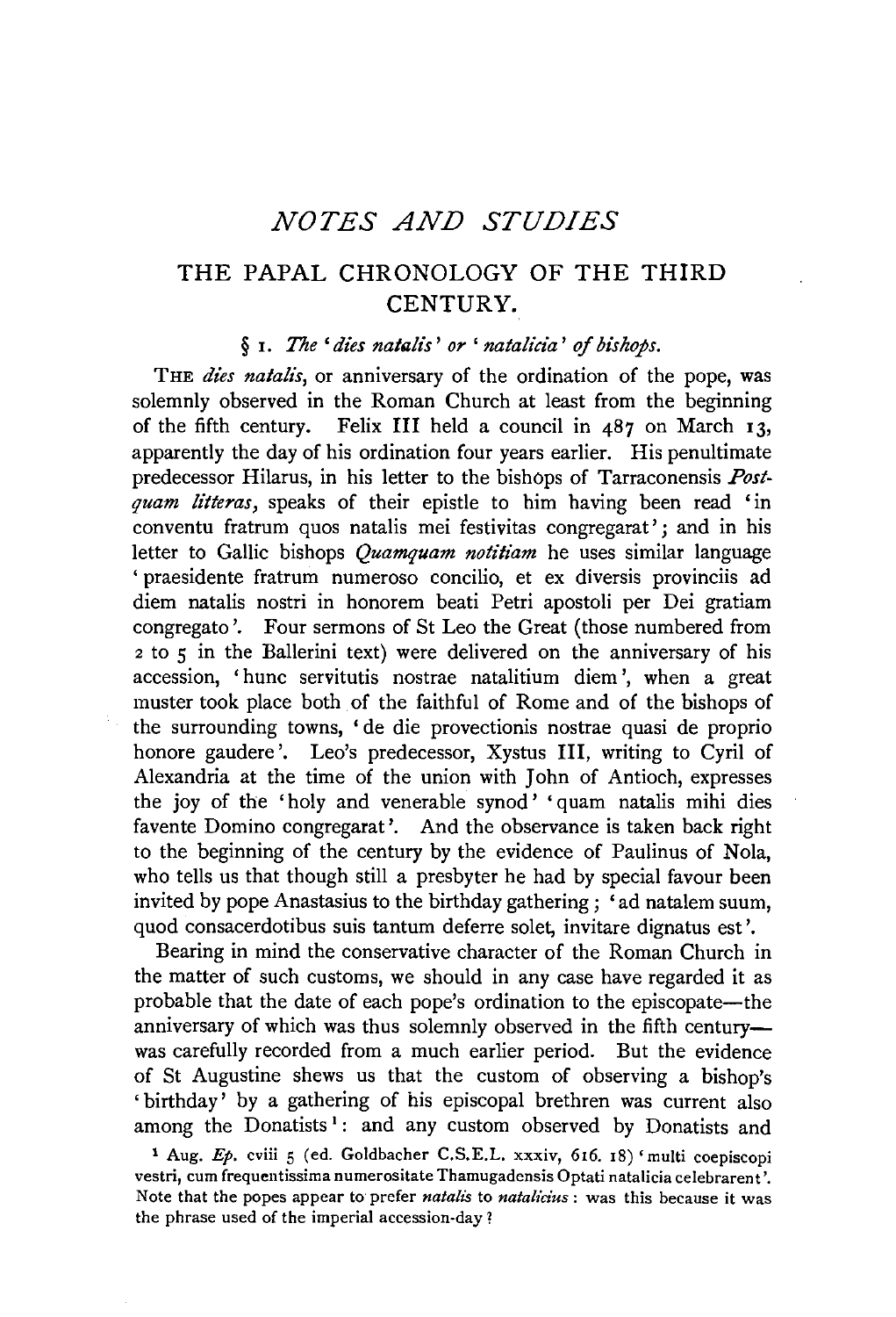# *NOTES AND STUDIES*

# THE PAPAL CHRONOLOGY OF THE THIRD CENTURY.

#### § 1. *The' dies natalis' or' natalicia' of bishops.*

THE *dies natalis*, or anniversary of the ordination of the pope, was solemnly observed in the Roman Church at least from the beginning of the fifth century. Felix III held a council in 487 on March 13, apparently the day of his ordination four years earlier. His penultimate predecessor Hilarus, in his letter to the bishops of Tarraconensis *Postquam litteras,* speaks of their epistle to him having been read 'in conventu fratrum quos natalis mei festivitas congregarat' ; and in his letter to Gallic bishops *Quamquam notitiam* he uses similar language ' praesidente fratrum numeroso concilio, et ex diversis provinciis ad diem natalis nostri in honorem beati Petri apostoli per Dei gratiam congregato '. Four sermons of St Leo the Great (those numbered from <sup>2</sup>to 5 in the Ballerini text) were delivered on the anniversary of his accession, 'hunc servitutis nostrae natalitium diem ', when a great muster took place both of the faithful of Rome and of the bishops of the surrounding towns, 'de die provectionis nostrae quasi de proprio honore gaudere'. Leo's predecessor, Xystus III, writing to Cyril of Alexandria at the time of the union with John of Antioch, expresses the joy of the 'holy and venerable synod' 'quam natalis mihi dies favente Domino congregarat '. And the observance is taken back right to the beginning of the century by the evidence of Paulinus of Nola, who tells us that though still a presbyter he had by special favour been invited by pope Anastasius to the birthday gathering ; 'ad natalem suum, quod consacerdotibus suis tantum deferre solet, invitare dignatus est'.

Bearing in mind the conservative character of the Roman Church in the matter of such customs, we should in any case have regarded it as probable that the date of each pope's ordination to the episcopate-the anniversary of which was thus solemnly observed in the fifth centurywas carefully recorded from a much earlier period. But the evidence of St Augustine shews us that the custom of observing a bishop's 'birthday' by a gathering of his episcopal brethren was current also among the Donatists<sup>1</sup>: and any custom observed by Donatists and

<sup>1</sup> Aug. Ep. cviii 5 (ed. Goldbacher C.S.E.L. xxxiv, 616. 18) 'multi coepiscopi vestri, cum frequentissima numerositate Thamugadensis Optati natalicia celebrarent '. Note that the popes appear to prefer *natalis* to *natalicius:* was this because it was the phrase used of the imperial accession-day!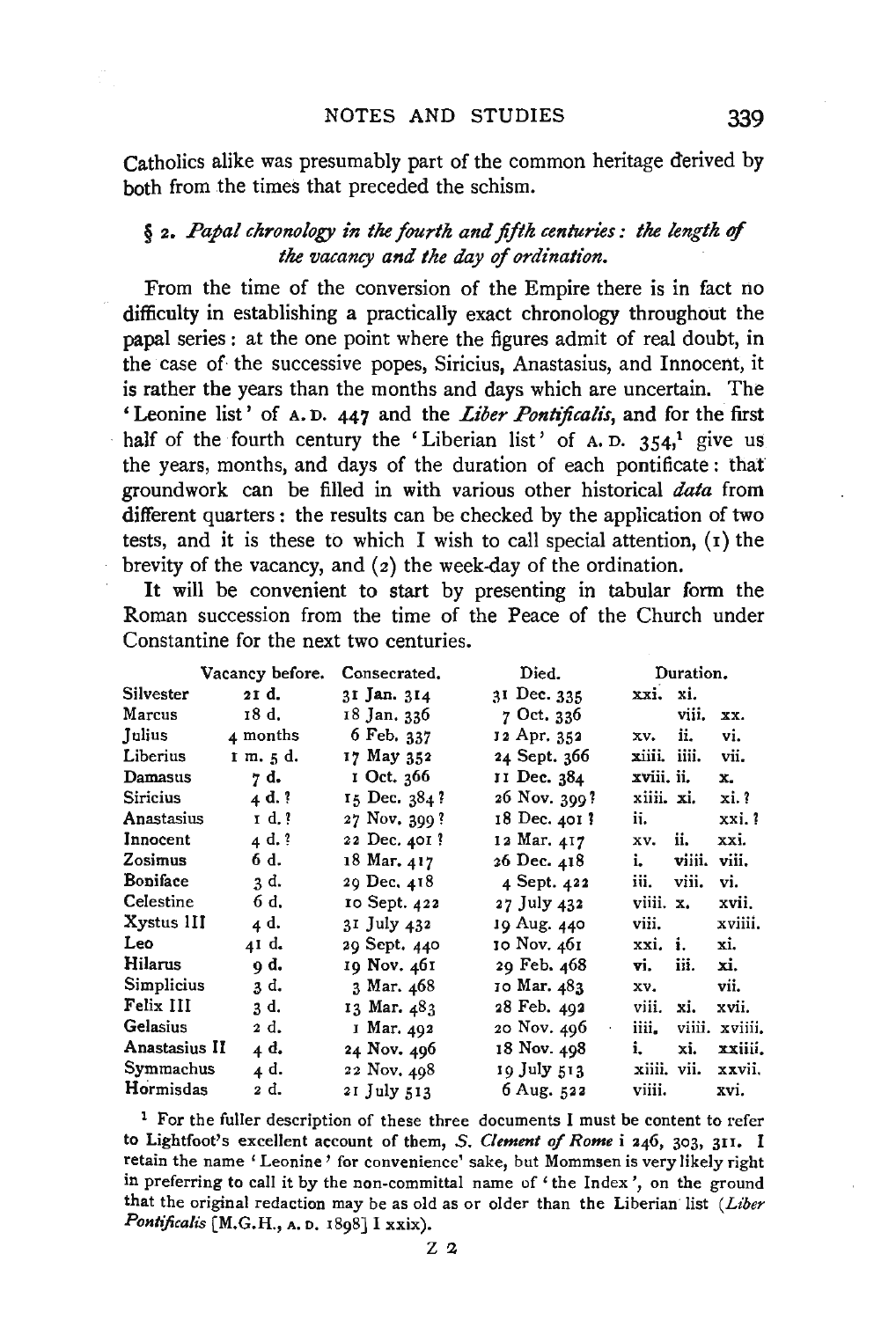Catholics alike was presumably part of the common heritage derived by both from the times that preceded the schism.

# § 2. *Papal clzronology in tlze fourth and fifth centuries: the length* ef *the vacancy and the day* ef *ordination.*

From the time of the conversion of the Empire there is in fact no difficulty in establishing a practically exact chronology throughout the papal series : at the one point where the figures admit of real doubt, in the case of the successive popes, Siricius, Anastasius, and Innocent, it is rather the years than the months and days which are uncertain. The 'Leonine list' of A. D. 447 and the *Liber Pontijicalis,* and for the first half of the fourth century the 'Liberian list' of A. D.  $354<sup>1</sup>$  give us the years, months, and days of the duration of each pontificate : that groundwork can be filled in with various other historical *data* from different quarters : the results can be checked by the application of two tests, and it is these to which I wish to call special attention,  $(1)$  the brevity of the vacancy, and (2) the week-day of the ordination.

It will be convenient to start by presenting in tabular form the Roman succession from the time of the Peace of the Church under Constantine for the next two centuries.

|               | Vacancy before. | Consecrated. | Died.            |              | Duration.   |                |
|---------------|-----------------|--------------|------------------|--------------|-------------|----------------|
| Silvester     | 21 d.           | 31 Jan. 314  | 31 Dec. 335      | xxi. xi.     |             |                |
| Marcus        | 18 d.           | 18 Jan. 336  | 7 Oct. 336       |              | viii.       | xx.            |
| Julius        | 4 months        | 6 Feb. 337   | 12 Apr. 352      | XV.          | ii.         | vi.            |
| Liberius      | 1 m. 5 d.       | 17 May 352   | 24 Sept. 366     | xiiii. iiii. |             | vii.           |
| Damasus       | 7 d.            | 1 Oct. 366   | 11 Dec. 384      | xviii. ii.   |             | x.             |
| Siricius      | 4d.?            | 15 Dec. 384? | 26 Nov. 399?     | xiiii. xi.   |             | xi. ?          |
| Anastasius    | 1 d. ?          | 27 Nov. 399? | 18 Dec. 401 ?    | ii.          |             | xxi.?          |
| Innocent      | 4 d. ?          | 22 Dec. 401? | 12 Mar. 417      | xv.          | ii.         | xxi.           |
| Zosimus       | 6 d.            | 18 Mar. 417  | 26 Dec. 418      | i.           | viiii.      | viii.          |
| Boniface      | 3 d.            | 29 Dec. 418  | 4 Sept. 422      | iii.         | viii.       | vi.            |
| Celestine     | 6 d.            | 10 Sept. 422 | 27 July 432      | viiii. x.    |             | xvii.          |
| Xystus III    | 4 d.            | 31 July 432  | 19 Aug. 440      | viii.        |             | xviiii.        |
| Leo.          | 41 d.           | 29 Sept. 440 | 10 Nov. 461      | xxi. i.      |             | xi.            |
| Hilarus       | 9 d.            | 19 Nov. 461  | 29 Feb. 468      | vi.          | iii.        | xi.            |
| Simplicius    | 3 d.            | 3 Mar. 468   | 10 Mar. 483      | XV.          |             | vii.           |
| Felix III     | 3 d.            | 13 Mar. 483  | 28 Feb. 492      | viii.        | xi.         | xvii.          |
| Gelasius      | 2 d.            | I Mar. 492   | 20 Nov. 496<br>¢ | iiii.        |             | viiii. xviiii. |
| Anastasius II | 4 d.            | 24 Nov. 496  | 18 Nov. 498      | i.           | xi.         | xxiiii.        |
| Symmachus     | 4 d.            | 22 Nov. 498  | 19 July 513.     |              | xiiii, vii. | xxvii.         |
| Hormisdas     | 2 d.            | 21 July 513  | 6 Aug. $522$     | viiii.       |             | xvi.           |

<sup>1</sup> For the fuller description of these three documents I must be content to refer to Lightfoot's excellent account of them, *S . Clement of Rome* i 246, 303, 3u. I retain the name 'Leonine' for convenience' sake, but Mommsen is very likely right in preferring to call it by the non-committal name of 'the Index', on the ground that the original redaction may be as old as or older than the Liberian list (Liber *Pontificalis* [M.G.H., A. o. 1898] I xxix).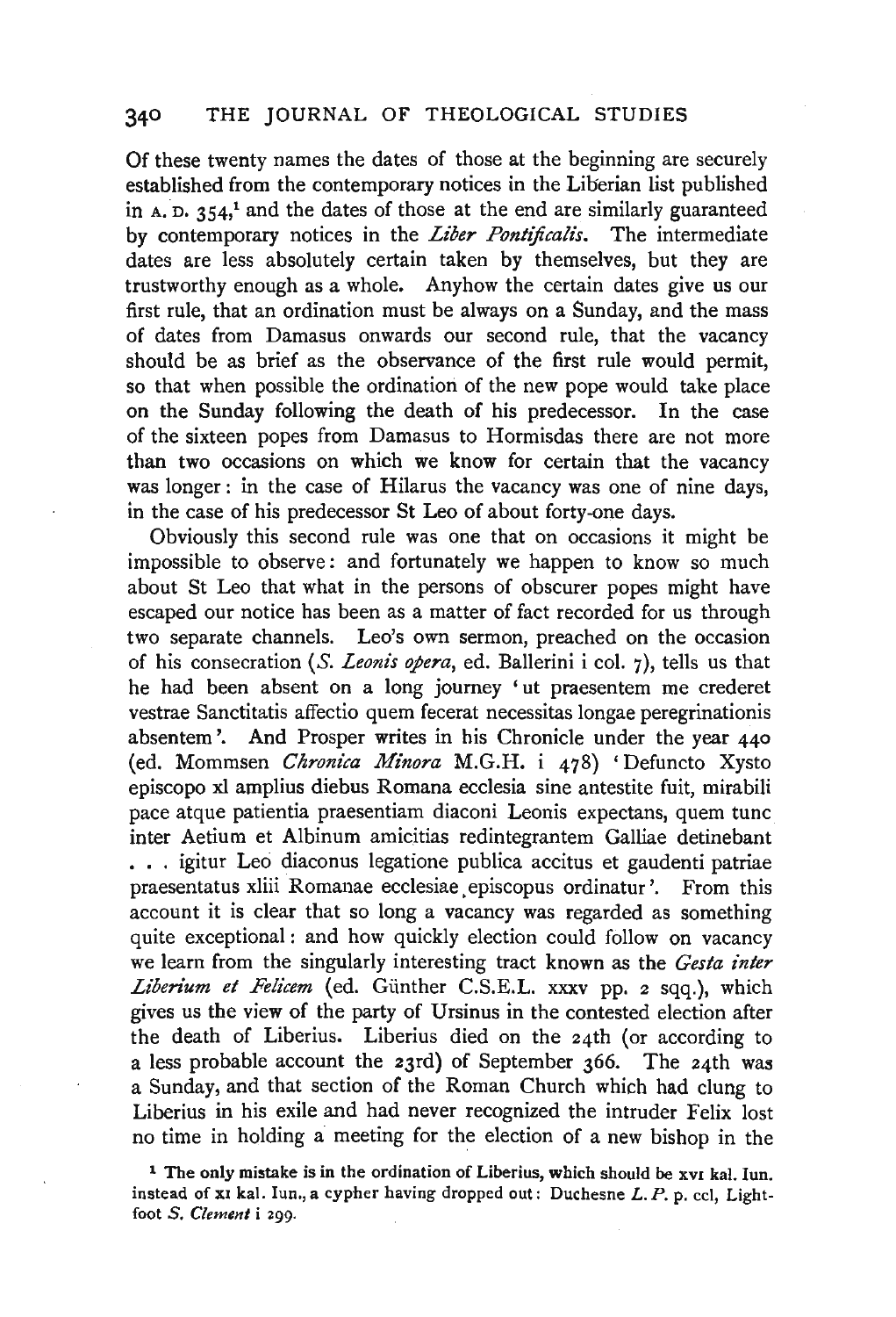Of these twenty names the dates of those at the beginning are securely established from the contemporary notices in the Liberian list published in  $A$ .  $D$ . 354,<sup>1</sup> and the dates of those at the end are similarly guaranteed by contemporary notices in the *Liber Pontificalis*. The intermediate dates are less absolutely certain taken by themselves, but they are trustworthy enough as a whole. Anyhow the certain dates give us our first rule, that an ordination must be always on a Sunday, and the mass of dates from Damasus onwards our second rule, that the vacancy should be as brief as the observance of the first rule would permit, so that when possible the ordination of the new pope would take place on the Sunday following the death of his predecessor. In the case of the sixteen popes from Damasus to Hormisdas there are not more than two occasions on which we know for certain that the vacancy was longer: in the case of Hilarus the vacancy was one of nine days, in the case of his predecessor St Leo of about forty-one days.

Obviously this second rule was one that on occasions it might be impossible to observe: and fortunately we happen to know so much about St Leo that what in the persons of obscurer popes might have escaped our notice has been as a matter of fact recorded for us through two separate channels. Leo's own sermon, preached on the occasion of his consecration (S. *Leonis opera*, ed. Ballerini i col. 7), tells us that he had been absent on a long journey ' ut praesentem me crederet vestrae Sanctitatis affectio quern fecerat necessitas longae peregrinationis absentem '. And Prosper writes in his Chronicle under the year 440 (ed. Mommsen *Chronica Minora* M.G.H. i 478) 'Defuncto Xysto episcopo xl amplius diebus Romana ecclesia sine antestite fuit, mirabili pace atque patientia praesentiam diaconi Leonis expectans, quem tunc inter Aetium et Albinum amicitias redintegrantem Galliae detinebant . . . igitur Leo diaconus legatione publica accitus et gaudenti patriae praesentatus xliii Romanae ecclesiae. episcopus ordinatur '. From this account it is clear that so long a vacancy was regarded as something quite exceptional : and how quickly election could follow on vacancy we learn from the singularly interesting tract known as the *Gesta inter*  Liberium et Felicem (ed. Günther C.S.E.L. xxxv pp. 2 sqq.), which gives us the view of the party of Ursinus in the contested election after the death of Liberius. Liberius died on the 24th (or according to a less probable account the 23rd) of September 366. The 24th was a Sunday, and that section of the Roman Church which had clung to Liberius in his exile and had never recognized the intruder Felix lost no time in holding a meeting for the election of a new bishop in the

<sup>1</sup> The only mistake is in the ordination of Liberius, which should be xvi kal. Iun. instead of xI kal. Iun., a cypher having dropped out: Duchesne  $L$ . P. p. ccl. Lightfoot *S. Clement* i 299.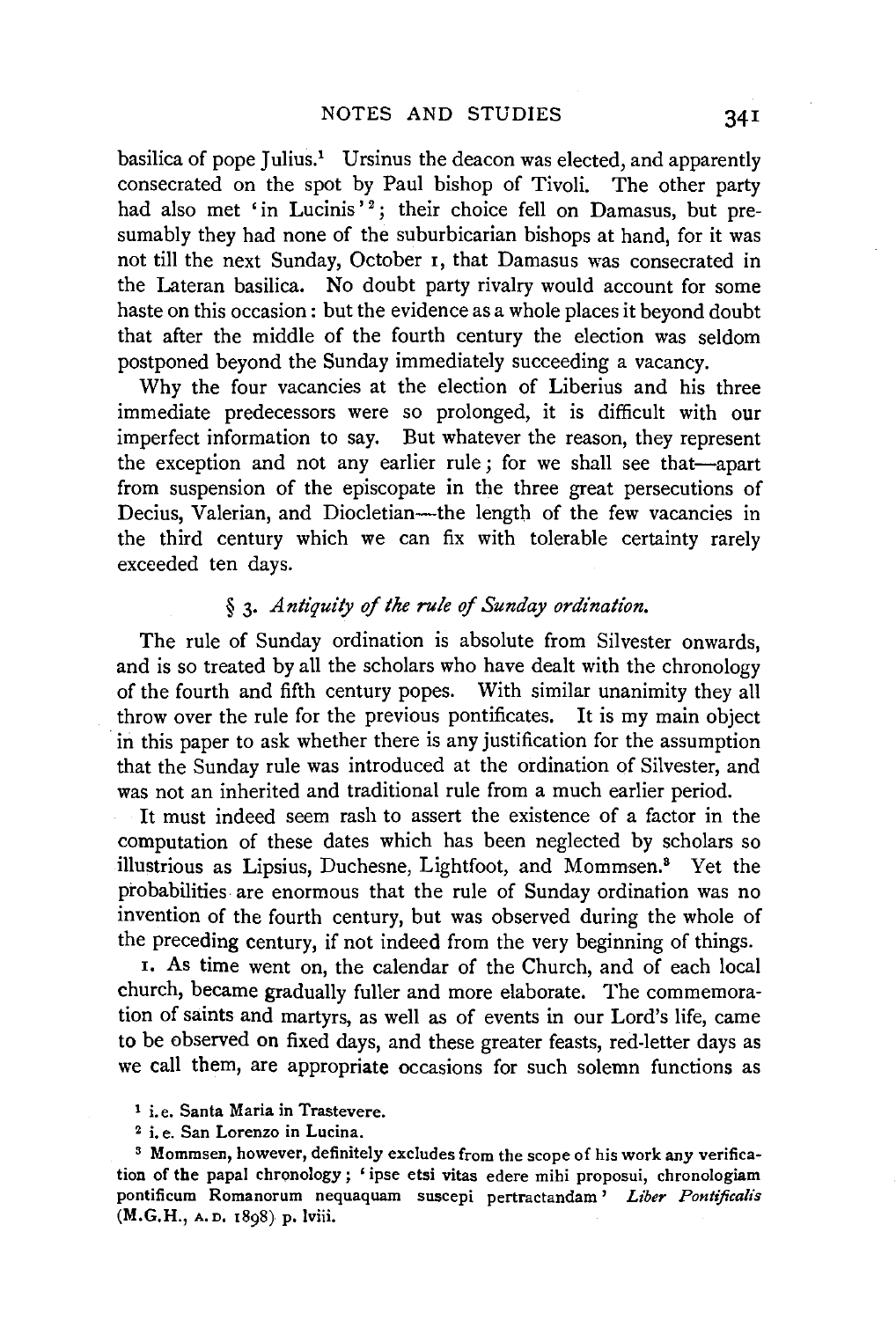basilica of pope Julius.<sup>1</sup> Ursinus the deacon was elected, and apparently consecrated on the spot by Paul bishop of Tivoli. The other party had also met 'in Lucinis'<sup>2</sup>; their choice fell on Damasus, but presumably they had none of the suburbicarian bishops at hand, for it was not till the next Sunday, October 1, that Damasus was consecrated in the Lateran basilica. No doubt party rivalry would account for some haste on this occasion : but the evidence as a whole places it beyond doubt that after the middle of the fourth century the election was seldom postponed beyond the Sunday immediately succeeding a vacancy.

Why the four vacancies at the election of Liberius and his three immediate predecessors were so prolonged, it is difficult with our imperfect information to say. But whatever the reason, they represent the exception and not any earlier rule ; for we shall see that-apart from suspension of the episcopate in the three great persecutions of Decius, Valerian, and Diocletian-the length of the few vacancies in the third century which we can fix with tolerable certainty rarely exceeded ten days.

## § 3. *Antiquity of the rule of Sunday ordination.*

The rule of Sunday ordination is absolute from Silvester onwards, and is so treated by all the scholars who have dealt with the chronology of the fourth and fifth century popes. With similar unanimity they all throw over the rule for the previous pontificates. It is my main object in this paper to ask whether there is any justification for the assumption that the Sunday rule was introduced at the ordination of Silvester, and was not an inherited and traditional rule from a much earlier period.

It must indeed seem rash to assert the existence of a factor in the computation of these dates which has been neglected by scholars so illustrious as Lipsius, Duchesne, Lightfoot, and Mommsen.8 Yet the probabilities are enormous that the rule of Sunday ordination was no invention of the fourth century, but was observed during the whole of the preceding century, if not indeed from the very beginning of things.

1. As time went on, the calendar of the Church, and of each local church, became gradually fuller and more elaborate. The commemoration of saints and martyrs, as well as of events in our Lord's life, came to be observed on fixed days, and these greater feasts, red-letter days as we call them, are appropriate occasions for such solemn functions as

<sup>2</sup> i. e. San Lorenzo in Lucina.<br><sup>3</sup> Mommsen, however, definitely excludes from the scope of his work any verification of the papal chronology; ' ipse etsi vitas edere mihi proposui, chronologiam pontificum Romanorum nequaquam suscepi pertractandam ' *Liber Pontijicalis*  (M.G.H., A.D. 1898) p. lviii.

<sup>1</sup> i. e. Santa Maria in Trastevere.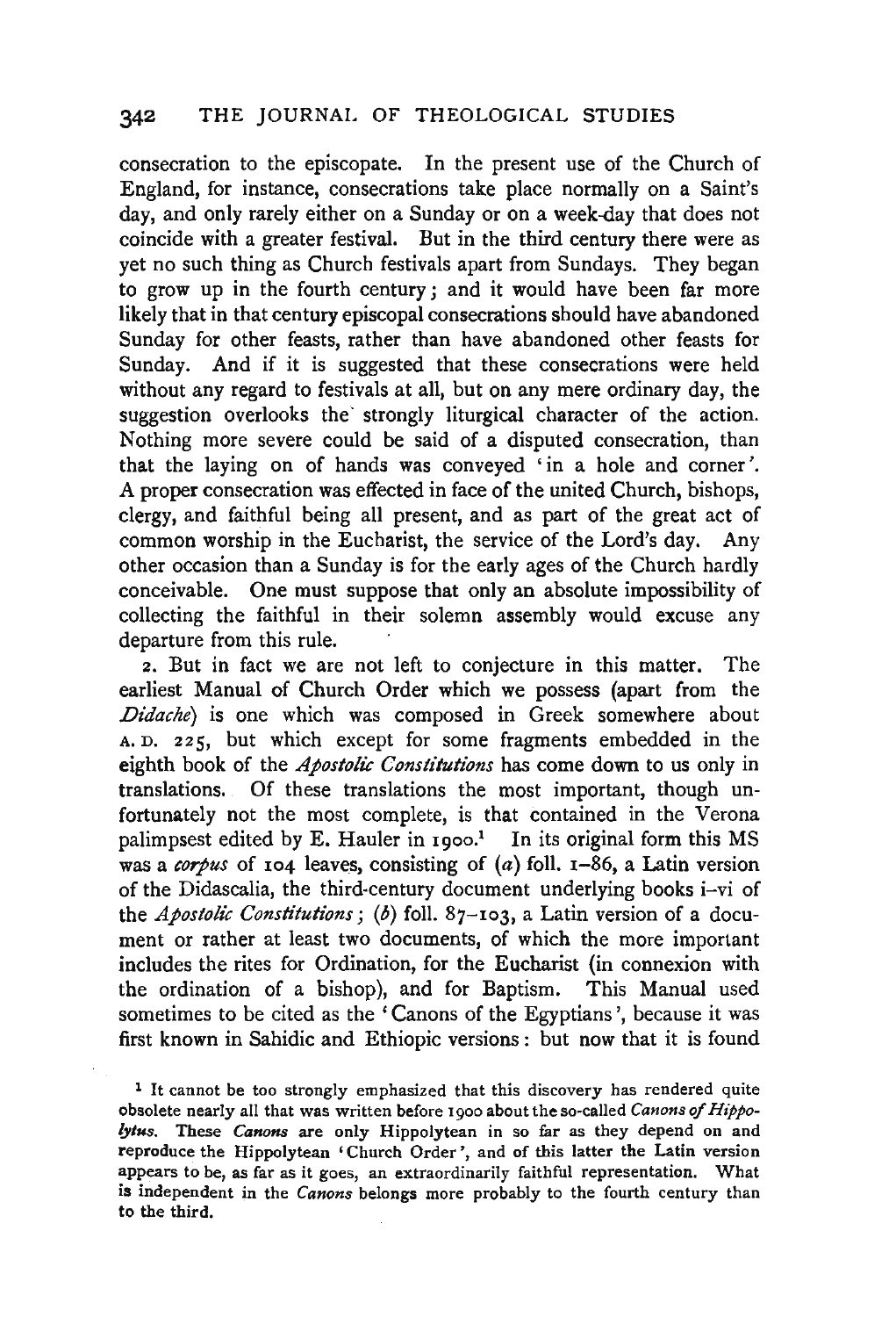consecration to the episcopate. In the present use of the Church of England, for instance, consecrations take place normally on a Saint's day, and only rarely either on a Sunday or on a week-day that does not coincide with a greater festival. But in the third century there were as yet no such thing as Church festivals apart from Sundays. They began to grow up in the fourth century ; and it would have been far more likely that in that century episcopal consecrations should have abandoned Sunday for other feasts, rather than have abandoned other feasts for Sunday. And if it is suggested that these consecrations were held without any regard to festivals at all, but on any mere ordinary day, the suggestion overlooks the strongly liturgical character of the action. Nothing more severe could be said of a disputed consecration, than that the laying on of hands was conveyed 'in a hole and corner'. A proper consecration was effected in face of the united Church, bishops, clergy, and faithful being all present, and as part of the great act of common worship in the Eucharist, the service of the Lord's day. Any other occasion than a Sunday is for the early ages of the Church hardly conceivable. One must suppose that only an absolute impossibility of collecting the faithful in their solemn assembly would excuse any departure from this rule.

2. But in fact we are not left to conjecture in this matter. The earliest Manual of Church Order which we possess (apart from the *Didache)* is one which was composed in Greek somewhere about A. D. 225, but which except for some fragments embedded in the eighth book of the *Apostolic Constitutions* has come down to us only in translations. Of these translations the most important, though unfortunately not the most complete, is that contained in the Verona palimpsest edited by E. Hauler in  $1900$ .<sup>1</sup> In its original form this MS was a *corpus* of 104 leaves, consisting of (a) foll. 1-86, a Latin version of the Didascalia, the third-century document underlying books i-vi of the *Apostolic Constitutions; (b)* foll. 87-103, a Latin version of a document or rather at least two documents, of which the more important includes the rites for Ordination, for the Eucharist (in connexion with the ordination of a bishop), and for Baptism. This Manual used sometimes to be cited as the 'Canons of the Egyptians', because it was first known in Sahidic and Ethiopic versions : but now that it is found

1 It cannot be too strongly emphasized that this discovery has rendered quite obsolete nearly all that was written before 1900 about the so-called *Canons of Hippo- /ytus.* These *Canons* are only Hippolytean in so far as they depend on and reproduce the Hippolytean 'Church Order', and of this latter the Latin version appears to be, as far as it goes, an extraordinarily faithful representation. What is independent in the *Canons* belongs more probably to the fourth century than to the third.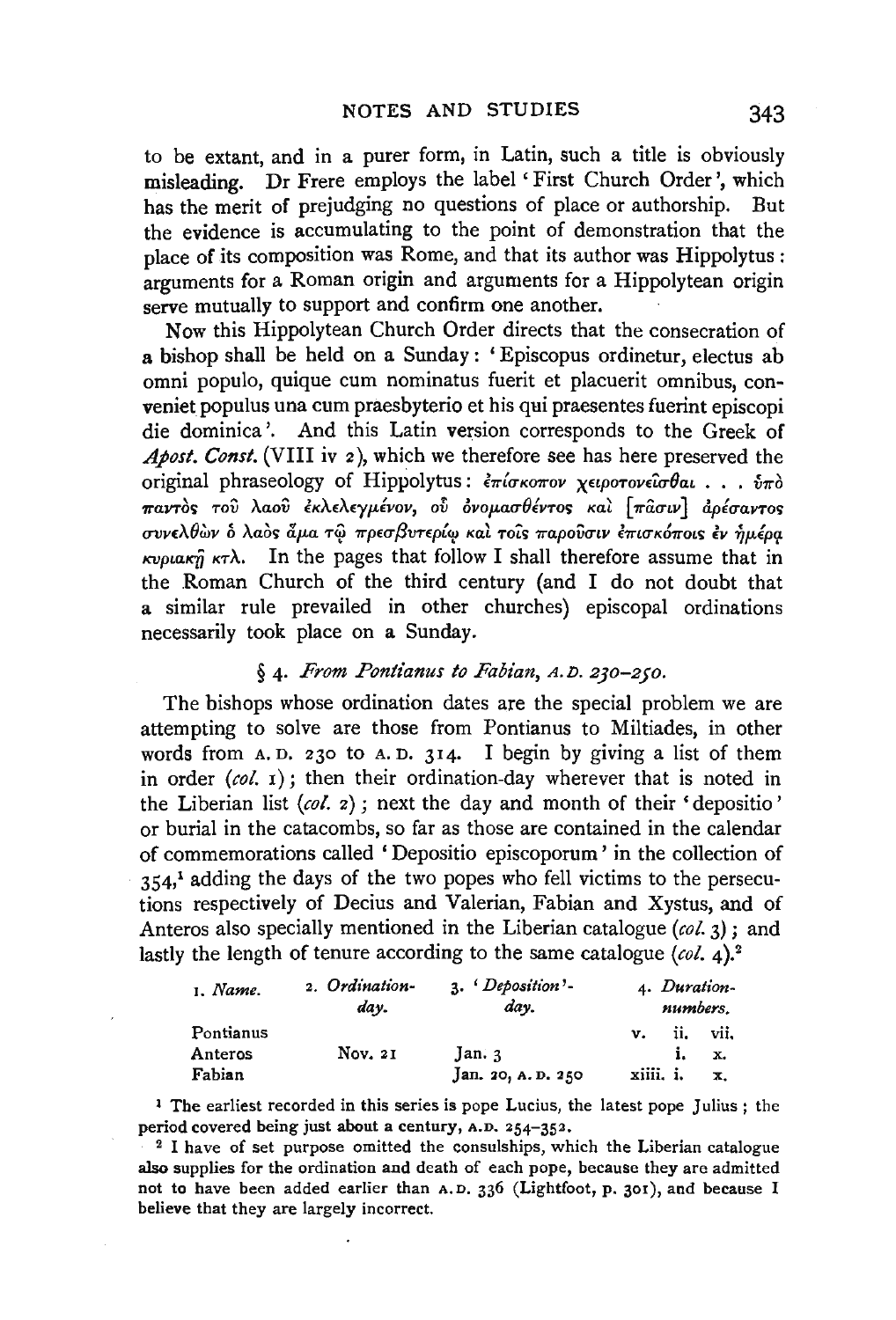to be extant, and in a purer form, in Latin, such a title is obviously misleading. Dr Frere employs the label ' First Church Order', which has the merit of prejudging no questions of place or authorship. But the evidence is accumulating to the point of demonstration that the place of its composition was Rome, and that its author was Hippolytus : arguments for a Roman origin and arguments for a Hippolytean origin serve mutually to support and confirm one another.

Now this Hippolytean Church Order directs that the consecration of a bishop shall be held on a Sunday : 'Episcopus ordinetur, electus ab omni populo, quique cum nominatus fuerit et placuerit omnibus, conveniet populus una cum praesbyterio et his qui praesentes fuerint episcopi die dominica '. And this Latin version corresponds to the Greek of *Abost. Const.* (VIII iv 2), which we therefore see has here preserved the original phraseology of Hippolytus:  $\epsilon \pi i \sigma \kappa \sigma \pi \sigma \nu$  χειροτονείσθαι . . .  $\delta \pi \delta$  $\pi$ αντός του λαού έκλελεγμένον, ού όνομασθέντος και [πασιν] αρέσαντος συνελθών δ λαός άμα τώ πρεσβυτερίω και τοις παρούσιν επισκόποις εν ήμέρα  $Kv$ *ptakij*  $K\tau\lambda$ . In the pages that follow I shall therefore assume that in the Roman Church of the third century (and I do not doubt that a similar rule prevailed in other churches) episcopal ordinations necessarily took place on a Sunday.

### § 4. *From Pontianus to Fabian,* A.D. 230-250.

The bishops whose ordination dates are the special problem we are attempting to solve are those from Pontianus to Miltiades, in other words from A. D. 230 to A. D. 314. I begin by giving a list of them in order *(col.* 1); then their ordination-day wherever that is noted in the Liberian list *(col.* 2) ; next the day and month of their 'depositio' or burial in the catacombs, so far as those are contained in the calendar of commemorations called 'Depositio episcoporum' in the collection of  $354<sup>1</sup>$  adding the days of the two popes who fell victims to the persecutions respectively of Decius and Valerian, Fabian and Xystus, and of Anteros also specially mentioned in the Liberian catalogue *(col.* 3) ; and lastly the length of tenure according to the same catalogue (col. 4).<sup>2</sup>

| 1. Name.  | 2. Ordination-<br>dav. | 3. Deposition'-<br>day. | 4. Duration-<br>numbers. |     |      |  |
|-----------|------------------------|-------------------------|--------------------------|-----|------|--|
| Pontianus |                        |                         | v.                       | ii. | vii. |  |
| Anteros   | Nov. 21                | Jan.3                   |                          |     | x.   |  |
| Fabian    |                        | Jan. 20, A.D. 250       | xiiii. i.                |     | х.   |  |

<sup>1</sup> The earliest recorded in this series is pope Lucius, the latest pope Julius ; the period covered being just about a century, A.D.  $254-352$ .<br><sup>2</sup> I have of set purpose omitted the consulships, which the Liberian catalogue

also supplies for the ordination and death of each pope, because they are admitted not to have been added earlier than A.D. 336 (Lightfoot, p. 301), and because I believe that they are largely incorrect.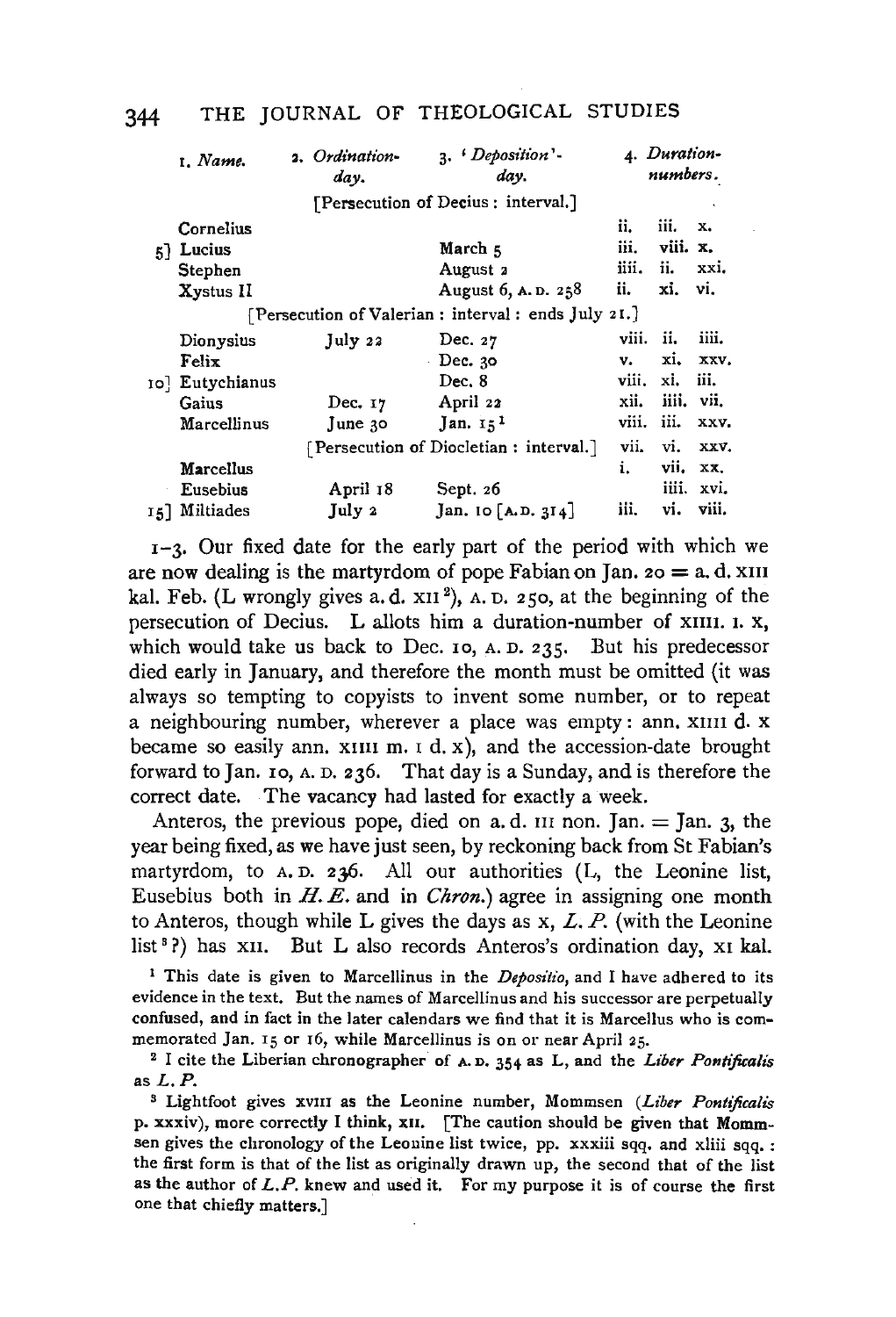|    | 1. Name.                                             |  | 2. Ordination-<br>day. | 3. <i>Deposition'</i> .<br>day.        |       | 4. Duration-<br>numbers. |       |
|----|------------------------------------------------------|--|------------------------|----------------------------------------|-------|--------------------------|-------|
|    |                                                      |  |                        | [Persecution of Decius: interval.]     |       |                          |       |
|    | Cornelius                                            |  |                        |                                        | ii.   | iii.                     | x.    |
| 51 | Lucius                                               |  |                        | March <sub>5</sub>                     | iii.  | viii. x.                 |       |
|    | Stephen                                              |  |                        | August 2                               | iiii. | ii.                      | xxi.  |
|    | Xystus II                                            |  |                        | August 6, A.D. 258                     | ii.   | xi.                      | vi.   |
|    | [Persecution of Valerian : interval : ends July 21.] |  |                        |                                        |       |                          |       |
|    | Dionysius                                            |  | July 22                | Dec. $27$                              | viii. | ii.                      | iiii. |
|    | Felix                                                |  |                        | Dec. $30$                              | v.    | xi.                      | XXV.  |
|    | ro] Eutychianus                                      |  |                        | Dec. 8                                 | viii. | xi.                      | iii.  |
|    | Gaius                                                |  | Dec. $17$              | April 22                               | xii.  | iiii.                    | vii.  |
|    | Marcellinus                                          |  | June $30$              | Jan. $151$                             | viii. | iii.                     | XXV.  |
|    |                                                      |  |                        | [Persecution of Diocletian: interval.] | vii.  | vi.                      | XXV.  |
|    | Marcellus                                            |  |                        |                                        | i.    | vii.                     | XX.   |
|    | Eusebius                                             |  | April 18               | Sept. 26                               |       | iiii.                    | xvi.  |
|    | 15] Miltiades                                        |  | July 2                 | Jan. $\text{IO}$ [A.D. 314]            | iii.  | vi.                      | viii. |

 $I-3$ . Our fixed date for the early part of the period with which we are now dealing is the martyrdom of pope Fabian on Jan.  $z_0 = a$ . d. XIII al. Feb. (L wrongly gives a.d.  $x_{11}^{2}$ ), A. D. 250, at the beginning of the persecution of Decius. L allots him a duration-number of XIIII. 1. X, which would take us back to Dec. 10, A. D. 235. But his predecessor died early in January, and therefore the month must be omitted (it was always so tempting to copyists to invent some number, or to repeat a neighbouring number, wherever a place was empty: ann. XIIII d. x became so easily ann.  $x_{111}$  m.  $1$  d.  $x$ ), and the accession-date brought forward to Jan. 10, A. D. 236. That day is a Sunday, and is therefore the correct date. The vacancy had lasted for exactly a week.

Anteros, the previous pope, died on a. d. III non. Jan.  $=$  Jan. 3, the year being fixed, as we have just seen, by reckoning back from St Fabian's martyrdom, to A. D. 236. All our authorities (L, the Leonine list, Eusebius both in *H.E.* and in *Chron.)* agree in assigning one month to Anteros, though while L gives the days as  $x, L, P$ . (with the Leonine list<sup>3</sup>?) has XII. But L also records Anteros's ordination day, XI kal.

<sup>1</sup> This date is given to Marcellinus in the *Depositio*, and I have adhered to its evidence in the text. But the names of Marcellinus and his successor are perpetually confused, and in fact in the later calendars we find that it is Marcellus who is commemorated Jan. 15 or 16, while Marcellinus is on or near April 25.<br><sup>2</sup> I cite the Liberian chronographer of A. p. 354 as L, and the *Liber Pontificalis* 

as  $L.P.$ 

<sup>3</sup> Lightfoot gives xvIII as the Leonine number, Mommsen *(Liber Pontificalis* p. xxxiv), more correctly I think, xII. [The caution should be given that Mommsen gives the chronology of the Leonine list twice, pp. xxxiii sqq. and xliii sqq. : the first form is that of the list as originally drawn up, the second that of the list as the author of  $L.P$ . knew and used it. For my purpose it is of course the first one that chiefly matters.]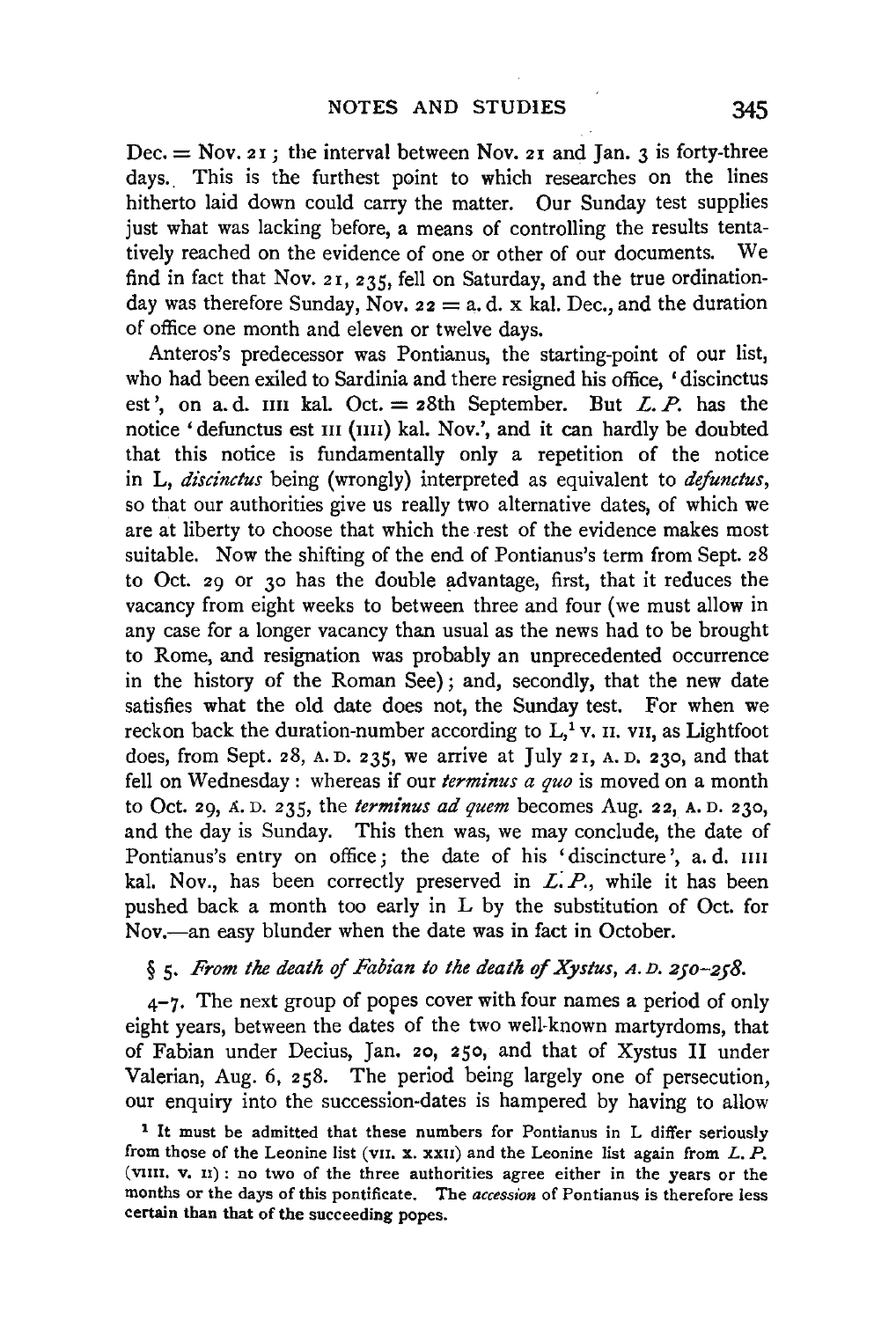$Dec. = Nov. 21$ ; the interval between Nov. 21 and Jan. 3 is forty-three days.. This is the furthest point to which researches on the lines hitherto laid down could carry the matter. Our Sunday test supplies just what was lacking before, a means of controlling the results tentatively reached on the evidence of one or other of our documents. We find in fact that Nov. 21, 235, fell on Saturday, and the true ordinationday was therefore Sunday, Nov.  $z_2 = a$ , d. x kal. Dec., and the duration of office one month and eleven or twelve days.

Anteros's predecessor was Pontianus, the starting-point of our list, who had been exiled to Sardinia and there resigned his office, 'discinctus est', on a. d.  $\text{III}$  kal. Oct. = 28th September. But *L. P.* has the notice 'defunctus est III (IIII) kal. Nov.', and it can hardly be doubted that this notice is fundamentally only a repetition of the notice in L, *discinctus* being (wrongly) interpreted as equivalent to *defunctus,*  so that our authorities give us really two alternative dates, of which we are at liberty to choose that which the rest of the evidence makes most suitable. Now the shifting of the end of Pontianus's term from Sept. 28 to Oct. 29 or 30 has the double advantage, first, that it reduces the vacancy from eight weeks to between three and four (we must allow in any case for a longer vacancy than usual as the news had to be brought to Rome, and resignation was probably an unprecedented occurrence in the history of the Roman See); and, secondly, that the new date satisfies what the old date does not, the Sunday test. For when we reckon back the duration-number according to  $L<sup>1</sup>$  v. II. vII, as Lightfoot does, from Sept. 28, A. D. 235, we arrive at July 21, A. D. 230, and that fell on Wednesday: whereas if our *terminus a quo* is moved on a month to Oct. 29, a. D. 235, the *terminus ad quem* becomes Aug. 22, A. D. 230, and the day is Sunday. This then was, we may conclude, the date of Pontianus's entry on office; the date of his 'discincture', a.d. IIII kal. Nov., has been correctly preserved in *L P.,* while it has been pushed back a month too early in L by the substitution of Oct. for Nov.--an easy blunder when the date was in fact in October.

# § 5. *From the death* of *Fabian to the death of Xystus,* A. D. *250-258.*

 $4-7$ . The next group of popes cover with four names a period of only eight years, between the dates of the two well-known martyrdoms, that of Fabian under Decius, Jan. 20, 250, and that of Xystus II under Valerian, Aug. 6, 258. The period being largely one of persecution, our enquiry into the succession-dates is hampered by having to allow

<sup>&</sup>lt;sup>1</sup> It must be admitted that these numbers for Pontianus in L differ seriously from those of the Leonine list (vII. x. xxII) and the Leonine list again from  $L$ .  $P$ . (vnn. v. n) : no two of the three authorities agree either in the years or the months or the days of this pontificate. The *accession* of Pontianus is therefore less certain than that of the succeeding popes.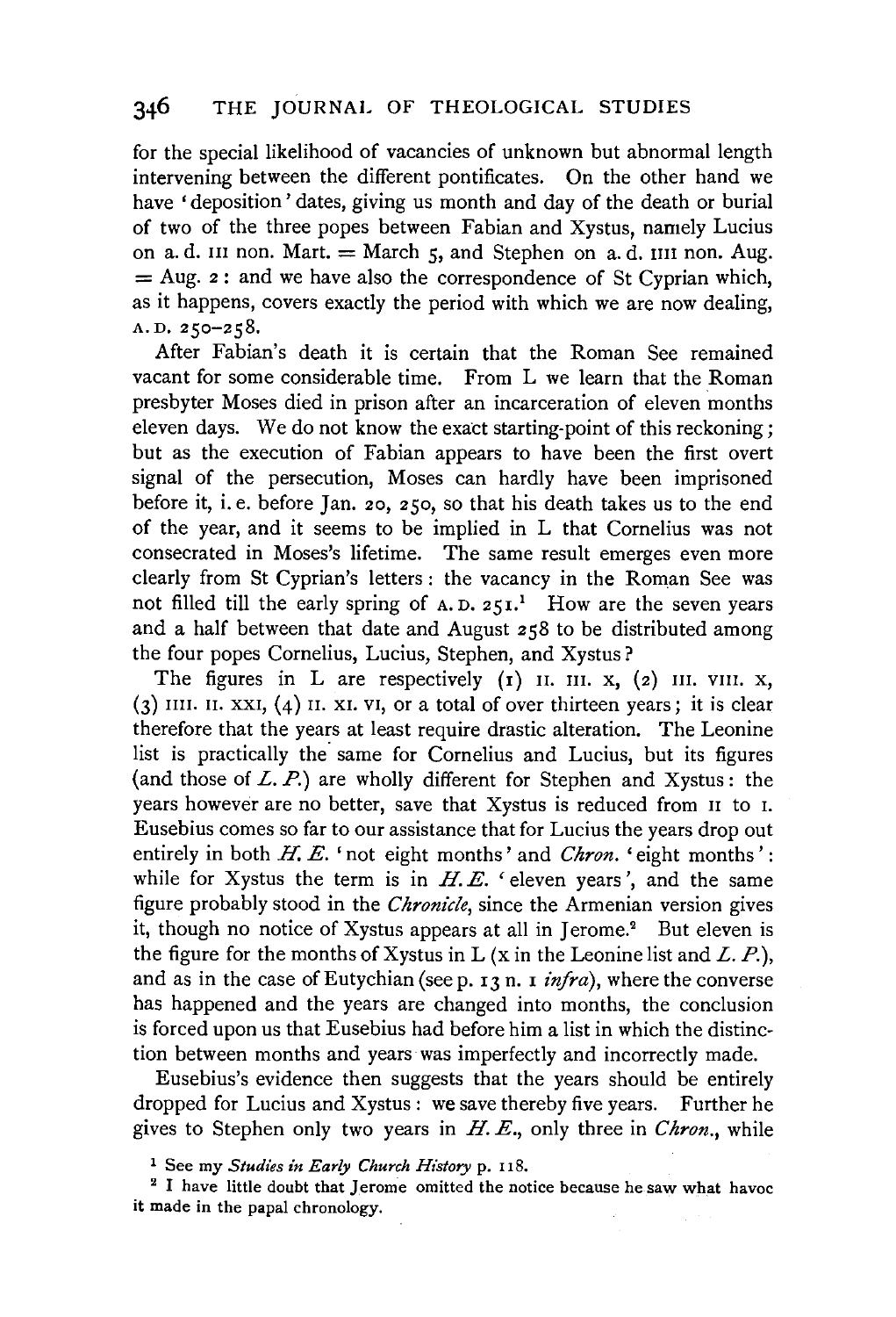for the special likelihood of vacancies of unknown but abnormal length intervening between the different pontificates. On the other hand we have 'deposition' dates, giving us month and day of the death or burial of two of the three popes between Fabian and Xystus, namely Lucius on a. d. III non. Mart.  $=$  March  $5$ , and Stephen on a. d. IIII non. Aug.  $=$  Aug. 2 : and we have also the correspondence of St Cyprian which, as it happens, covers exactly the period with which we are now dealing, A. D. 250-258.

After Fabian's death it is certain that the Roman See remained vacant for some considerable time. From L we learn that the Roman presbyter Moses died in prison after an incarceration of eleven months eleven days. We do not know the exact starting-point of this reckoning; but as the execution of Fabian appears to have been the first overt signal of the persecution, Moses can hardly have been imprisoned before it, i. e. before Jan. 20, 250, so that his death takes us to the end of the year, and it seems to be implied in L that Cornelius was not consecrated in Moses's lifetime. The same result emerges even more clearly from St Cyprian's letters : the vacancy in the Roman See was not filled till the early spring of  $A.D. 251$ .<sup>1</sup> How are the seven years and a half between that date and August 258 to be distributed among the four popes Cornelius, Lucius, Stephen, and Xystus?

The figures in L are respectively  $(r)$  II. III. x,  $(z)$  III. VIII. x,  $(3)$  IIII. II. XXI,  $(4)$  II. XI. VI, or a total of over thirteen years; it is clear therefore that the years at least require drastic alteration. The Leonine list is practically the same for Cornelius and Lucius, but its figures (and those of  $L. P.$ ) are wholly different for Stephen and Xystus: the years however are no better, save that Xystus is reduced from II to r. Eusebius comes so far to our assistance that for Lucius the years drop out entirely in both *H. E.* 'not eight months' and *Chron.* 'eight months': while for Xystus the term is in  $H.E.$  'eleven years', and the same figure probably stood in the *Chronicle,* since the Armenian version gives it, though no notice of Xystus appears at all in Jerome.<sup>2</sup> But eleven is the figure for the months of Xystus in L  $(x$  in the Leonine list and L. P.), and as in the case of Eutychian (see p. 13 n. 1 *infra*), where the converse has happened and the years are changed into months, the conclusion is forced upon us that Eusebius had before him a list in which the distinction between months and years was imperfectly and incorrectly made.

Eusebius's evidence then suggests that the years should be entirely dropped for Lucius and Xystus : we save thereby five years. Further he gives to Stephen only two years in *H. E.,* only three in *Chron.,* while

<sup>1</sup> See my *Studies in Early Church History* p. 118.<br><sup>2</sup> I have little doubt that Jerome omitted the notice because he saw what havoc it made in the papal chronology.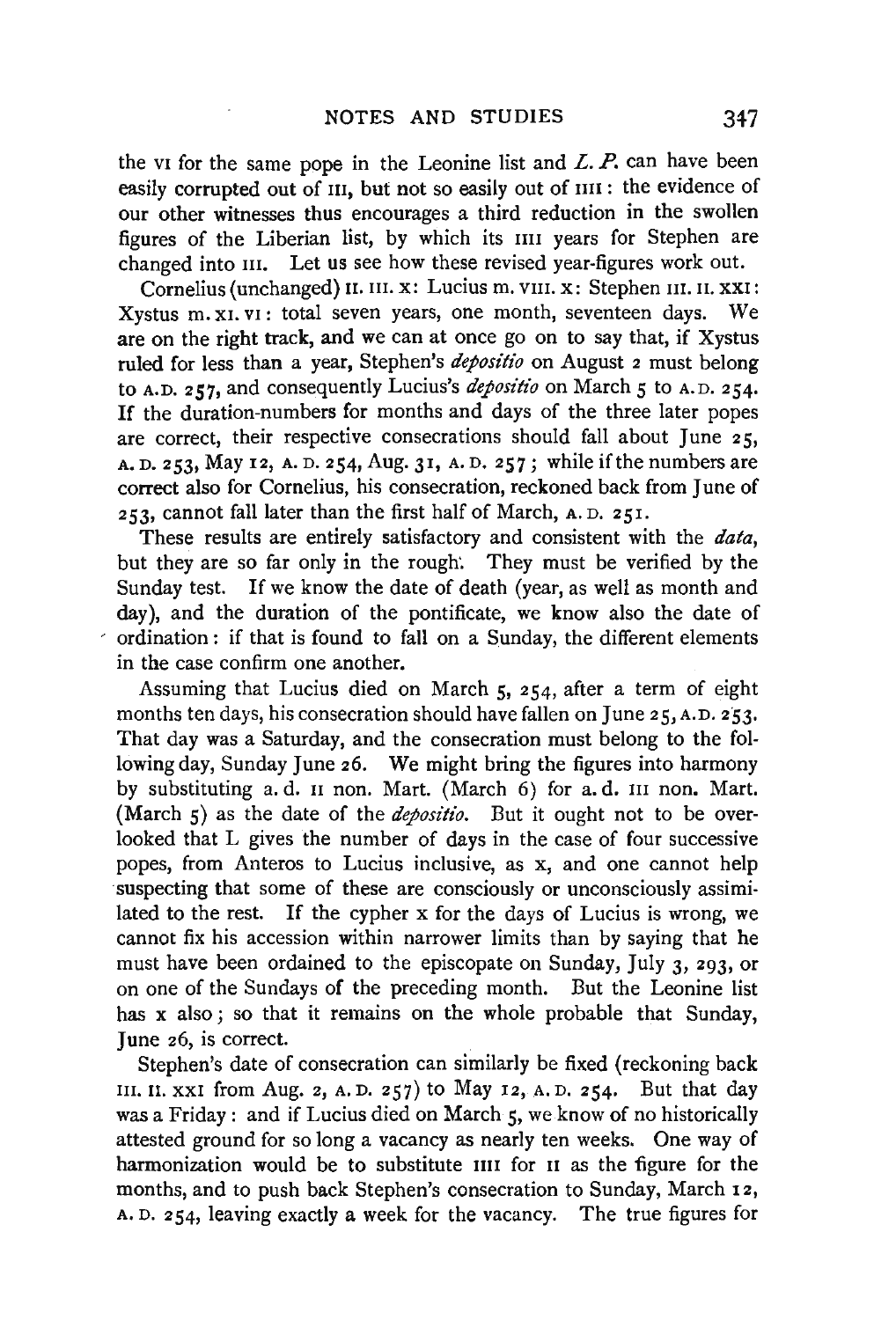the vi for the same pope in the Leonine list and  $L$ .  $P$ , can have been easily corrupted out of III, but not so easily out of IIII : the evidence of our other witnesses thus encourages a third reduction in the swollen figures of the Liberian list, by which its IIII years for Stephen are changed into III. Let us see how these revised year-figures work out.

Cornelius (unchanged) II. III. x: Lucius m. VIII. x: Stephen III. II. XXI: Xystus m. xr. vr: total seven years, one month, seventeen days. We are on the right track, and we can at once go on to say that, if Xystus ruled for less than a year, Stephen's *depositio* on August 2 must belong to A.D. 257, and consequently Lucius's *depositio* on March 5 to A.D. 254. If the duration-numbers for months and days of the three later popes are correct, their respective consecrations should fall about June  $25$ , A. D. 253, May 12, A. D. 254, Aug. 3r, A. D. 257; while if the numbers are correct also for Cornelius, his consecration, reckoned back from June of 253, cannot fall later than the first half of March, A. D. 25 r.

These results are entirely satisfactory and consistent with the *data,*  but they are so far only in the rough: They must be verified by the Sunday test. If we know the date of death (year, as well as month and day), and the duration of the pontificate, we know also the date of ordination: if that is found to fall on a Sunday, the different elements in the case confirm one another.

Assuming that Lucius died on March 5, 254, after a term of eight months ten days, his consecration should have fallen on June  $25, A.D. 253$ . That day was a Saturday, and the consecration must belong to the following day, Sunday June 26. We might bring the figures into harmony by substituting a.d.  $\overline{\text{II}}$  non. Mart. (March 6) for a.d.  $\overline{\text{II}}$  non. Mart. (March 5) as the date of the *dejositio.* But it ought not to be overlooked that L gives the number of days in the case of four successive popes, from Anteros to Lucius inclusive, as x, and one cannot help suspecting that some of these are consciously or unconsciously assimilated to the rest. If the cypher x for the days of Lucius is wrong, we cannot fix his accession within narrower limits than by saying that he must have been ordained to the episcopate on Sunday, July 3, 293, or on one of the Sundays of the preceding month. But the Leonine list has x also ; so that it remains on the whole probable that Sunday, June 26, is correct.

Stephen's date of consecration can similarly be fixed (reckoning back III. II. XXI from Aug. 2, A. D. 257) to May 12, A. D. 254. But that day was a Friday: and if Lucius died on March 5, we know of no historically attested ground for so long a vacancy as nearly ten weeks. One way of harmonization would be to substitute IIII for II as the figure for the months, and to push back Stephen's consecration to Sunday, March 12, A. D. 254, leaving exactly a week for the vacancy. The true figures for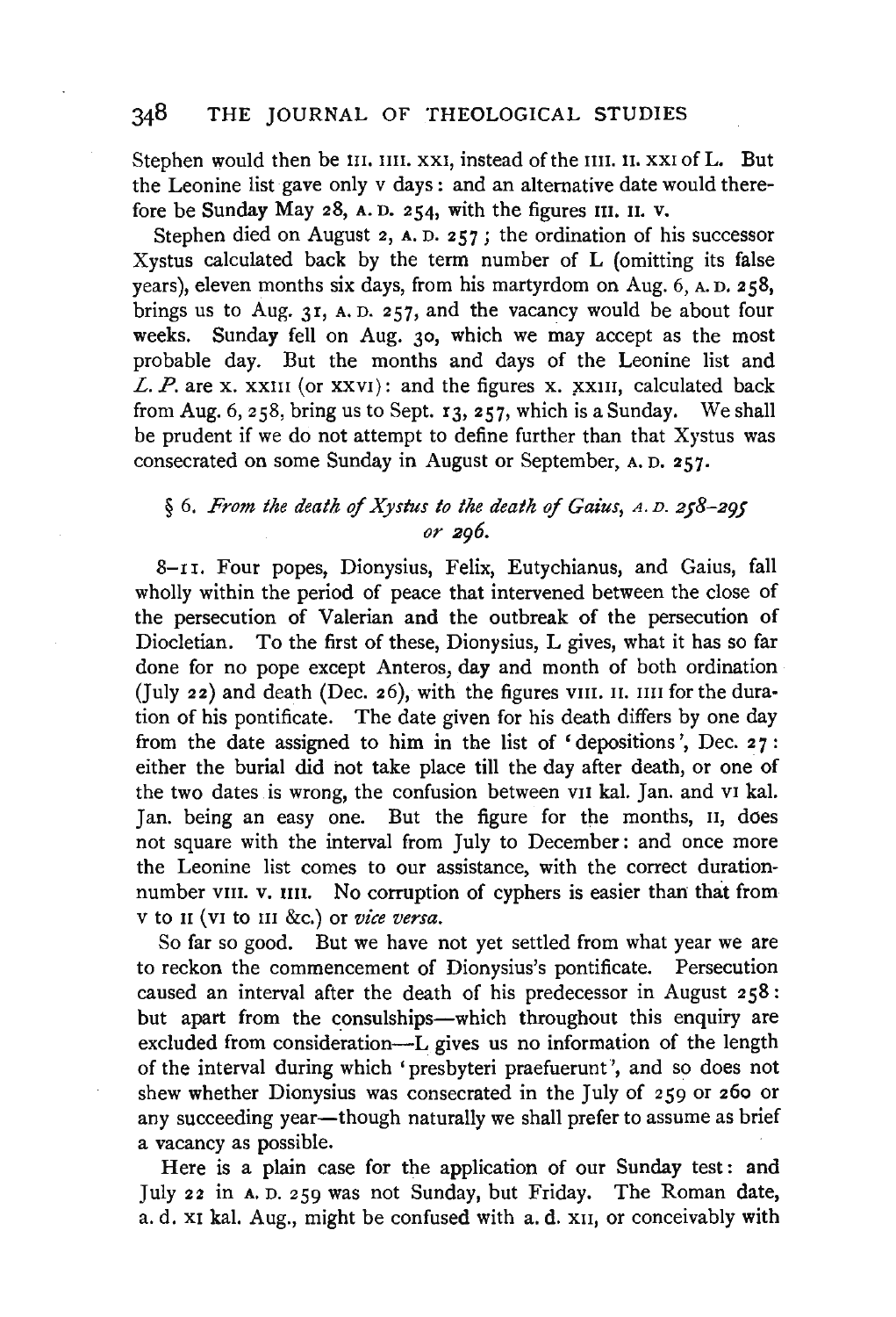Stephen would then be III, IIII, XXI, instead of the IIII, II, XXI of L. But the Leonine list gave only v days : and an alternative date would therefore be Sunday May 28, A. D. 254, with the figures III. II. v.

Stephen died on August 2, A. D. 257; the ordination of his successor Xystus calculated back by the term number of L (omitting its false years), eleven months six days, from his martyrdom on Aug. 6, A. n. 258, brings us to Aug. 3r, A. D. 257, and the vacancy would be about four weeks. Sunday fell on Aug. 30, which we may accept as the most probable day. But the months and days of the Leonine list and L.  $P$ . are x. xxIII (or xxVI): and the figures x. xxIII, calculated back from Aug. 6, 258, bring us to Sept. 13, 257, which is a Sunday. We shall be prudent if we do not attempt to define further than that Xystus was consecrated on some Sunday in August or September, A. D. 257.

# § 6. *From the death* of *Xystus to the death* of *Gaius,* <sup>A</sup> . D. *258-295 or 296.*

8-11. Four popes, Dionysius, Felix, Eutychianus, and Gaius, fall wholly within the period of peace that intervened between the close of the persecution of Valerian and the outbreak of the persecution of Diocletian. To the first of these, Dionysius, L gives, what it has so far done for no pope except Anteros, day and month of both ordination (July 22) and death (Dec. 26), with the figures vIII. II. IIII for the duration of his pontificate. The date given for his death differs by one day from the date assigned to him in the list of 'depositions', Dec. 27: either the burial did hot take place till the day after death, or one of the two dates is wrong, the confusion between vu kal. Jan. and v1 kal. Jan. being an easy one. But the figure for the months, 11, does not square with the interval from July to December: and once more the Leonine list comes to our assistance, with the correct durationnumber vIII. v. IIII. No corruption of cyphers is easier than that from v to II (vI to III &c.) or *vice versa*.

So far so good. But we have not yet settled from what year we are to reckon the commencement of Dionysius's pontificate. Persecution caused an interval after the death of his predecessor in August 258 : but apart from the consulships-which throughout this enquiry are excluded from consideration-L gives us no information of the length of the interval during which 'presbyteri praefuerunt ', and so does not shew whether Dionysius was consecrated in the July of 259 or 260 or any succeeding year—though naturally we shall prefer to assume as brief a vacancy as possible.

Here is a plain case for the application of our Sunday test: and July 22 in A. D. 259 was not Sunday, but Friday. The Roman date, a. d. x1 kal. Aug., might be confused with a. d. XII, or conceivably with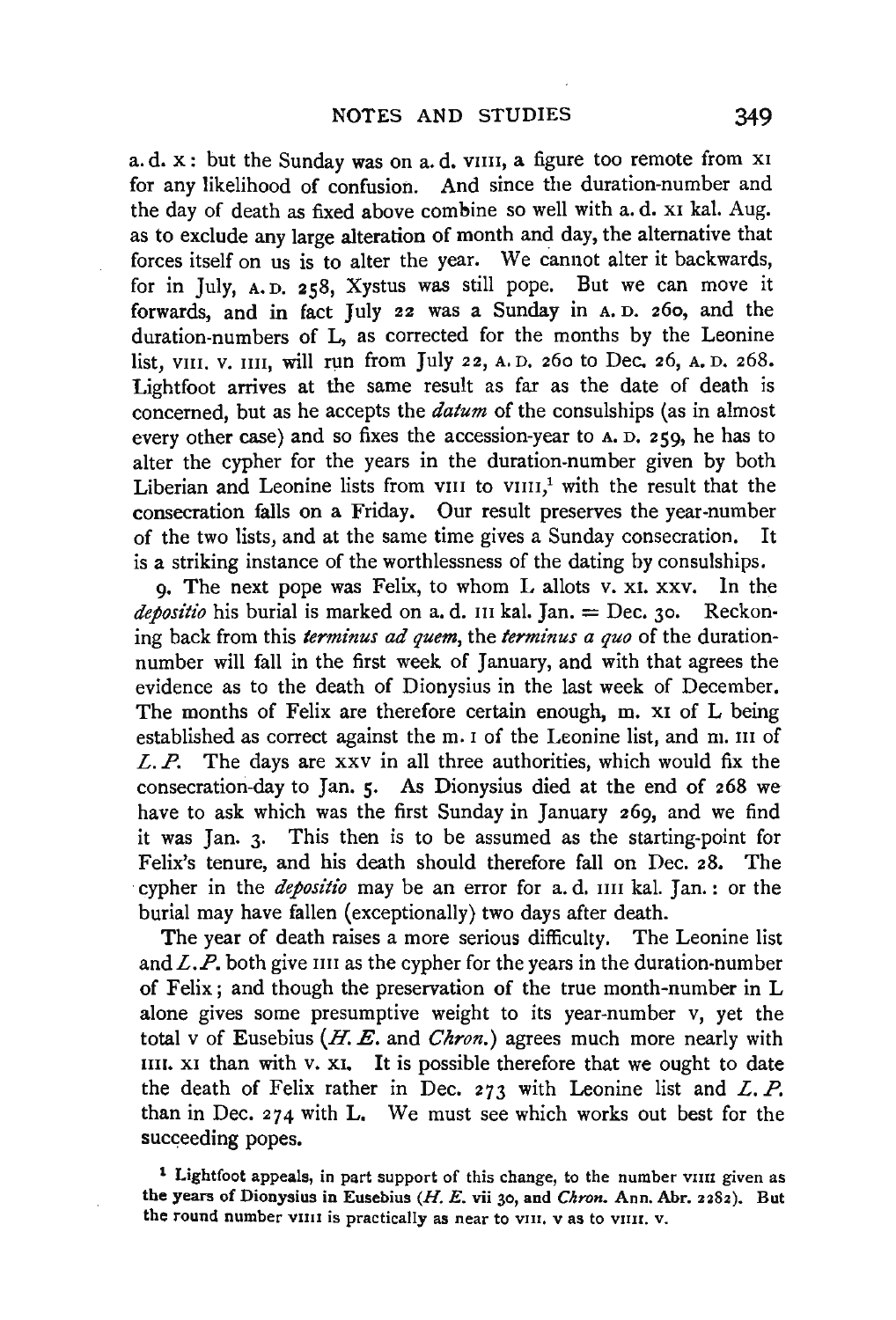a. d. x : but the Sunday was on a. d. VIIII, a figure too remote from XI for any likelihood of confusion. And since the duration-number and the day of death as fixed above combine so well with a. d. x1 kal. Aug. as to exclude any large alteration of month and day, the alternative that forces itself on us is to alter the year. We cannot alter it backwards, for in July, A. D. 258, Xystus was still pope. But we can move it forwards, and in fact July 22 was a Sunday in A. D. 260, and the duration-numbers of L, as corrected for the months by the Leonine list, VIII. V. IIII. will run from July 22, A. D. 260 to Dec. 26, A. D. 268. Lightfoot arrives at the same result as far as the date of death is concerned, but as he accepts the *datum* of the consulships (as in almost every other case) and so fixes the accession-year to A. D. 259, he has to alter the cypher for the years in the duration-number given by both Liberian and Leonine lists from VIII to VIIII,<sup>1</sup> with the result that the consecration falls on a Friday. Our result preserves the year-number of the two lists, and at the same time gives a Sunday consecration. It is a striking instance of the worthlessness of the dating by consulships.

9. The next pope was Felix, to whom L allots v. x1. xxv. In the depositio his burial is marked on a. d. III kal. Jan. = Dec. 30. Reckoning hack from this *terminus ad quem,* the *terminus a quo* of the durationnumber will fall in the first week of January, and with that agrees the evidence as to the death of Dionysius in the last week of December. The months of Felix are therefore certain enough, m. x1 of L being established as correct against the m. 1 of the Leonine list, and m. III of *L. P.* The days are xxv in all three authorities, which would fix the consecration-day to Jan. 5. As Dionysius died at the end of 268 we have to ask which was the first Sunday in January 269, and we find it was Jan. 3. This then is to be assumed as the starting-point for Felix's tenure, and his death should therefore fall on Dec. 28. The cypher in the *depositio* may be an error for a. d. IIII kal. Jan.: or the burial may have fallen (exceptionally) two days after death.

The year of death raises a more serious difficulty. The Leonine list and  $L.P$ , both give IIII as the cypher for the years in the duration-number of Felix; and though the preservation of the true month-number in L alone gives some presumptive weight to its year-number v, yet the total v of Eusebius (H. *E.* and *Chron.)* agrees much more nearly with nn. x1 than with v. x1. It is possible therefore that we ought to date the death of Felix rather in Dec. 273 with Leonine list and *L. P.*  than in Dec. 274 with L. We must see which works out best for the succeeding popes.

<sup>1</sup> Lightfoot appeals, in part support of this change, to the number viii given as the years of Dionysius in Eusebius (H. E. vii 30, and *Chron*. Ann. Abr. 2282). But the round number viiit is practically as near to viii. v as to viiii. v.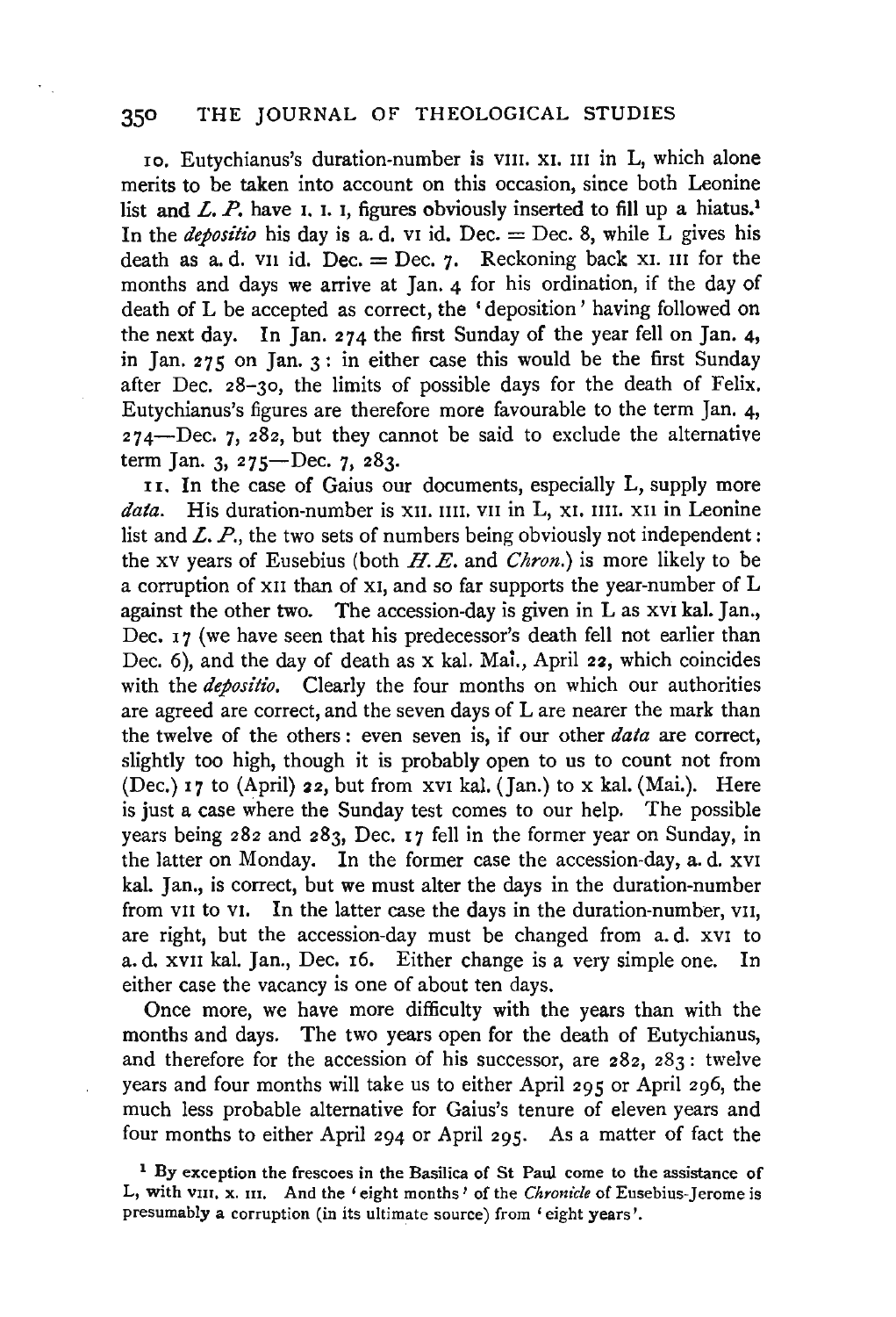ro. Eutychianus's duration-number is vm. XI. III in L, which alone merits to be taken into account on this occasion, since both Leonine list and  $L$ .  $P$ . have I. I. I, figures obviously inserted to fill up a hiatus.<sup>1</sup> In the *depositio* his day is a. d. v1 id. Dec. = Dec. 8, while  $\overline{L}$  gives his death as a. d. v<sub>11</sub> id. Dec. = Dec.  $\gamma$ . Reckoning back x<sub>1</sub>. III for the months and days we arrive at Jan. 4 for his ordination, if the day of death of L be accepted as correct, the 'deposition' having followed on the next day. In Jan. 274 the first Sunday of the year fell on Jan. 4, in Jan. 275 on Jan. 3: in either case this would be the first Sunday after Dec. 28-30, the limits of possible days for the death of Felix. Eutychianus's figures are therefore more favourable to the term Jan. 4,  $274 - Dec.$  7,  $282$ , but they cannot be said to exclude the alternative term Jan. 3, 275-Dec. 7, 283.

11. In the case of Gaius our documents, especially L, supply more data. His duration-number is x11. IIII. VII in L, x1. IIII. x11 in Leonine list and *L. P.*, the two sets of numbers being obviously not independent: the xv years of Eusebius (both H. *E.* and *Chron.)* is more likely to be a corruption of xII than of xI, and so far supports the year-number of L against the other two. The accession-day is given in Las xvr kal. Jan., Dec. 17 (we have seen that his predecessor's death fell not earlier than Dec. 6), and the day of death as x kal. Mai., April 22, which coincides with the *depositio*. Clearly the four months on which our authorities are agreed are correct, and the seven days of Lare nearer the mark than the twelve of the others : even seven is, if our other *data* are correct, slightly too high, though it is probably open to us to count not from (Dec.) 17 to (April) 22, but from XVI kal. (Jan.) to x kal. (Mai.). Here is just a case where the Sunday test comes to our help. The possible years being 282 and 283, Dec. 17 fell in the former year on Sunday, in the latter on Monday. In the former case the accession-day, a. d. XVI kal. Jan., is correct, but we must alter the days in the duration-number from v<sub>II</sub> to v<sub>I</sub>. In the latter case the days in the duration-number, v<sub>II</sub>, are right, but the accession-day must be changed from a. d. XVI to a. d. xvn kal. Jan., Dec. 16. Either change is a very simple one. In either case the vacancy is one of about ten days.

Once more, we have more difficulty with the years than with the months and days. The two years open for the death of Eutychianus, and therefore for the accession of his successor, are  $282$ ,  $283$ : twelve years and four months will take us to either April 295 or April 296, the much less probable alternative for Gaius's tenure of eleven years and four months to either April 294 or April 295. As a matter of fact the

<sup>&</sup>lt;sup>1</sup> By exception the frescoes in the Basilica of St Paul come to the assistance of L, with vIII. x. III. And the 'eight months' of the *Chronicle* of Eusebius-Jerome is presumably a corruption (in its ultimate source) from 'eight years'.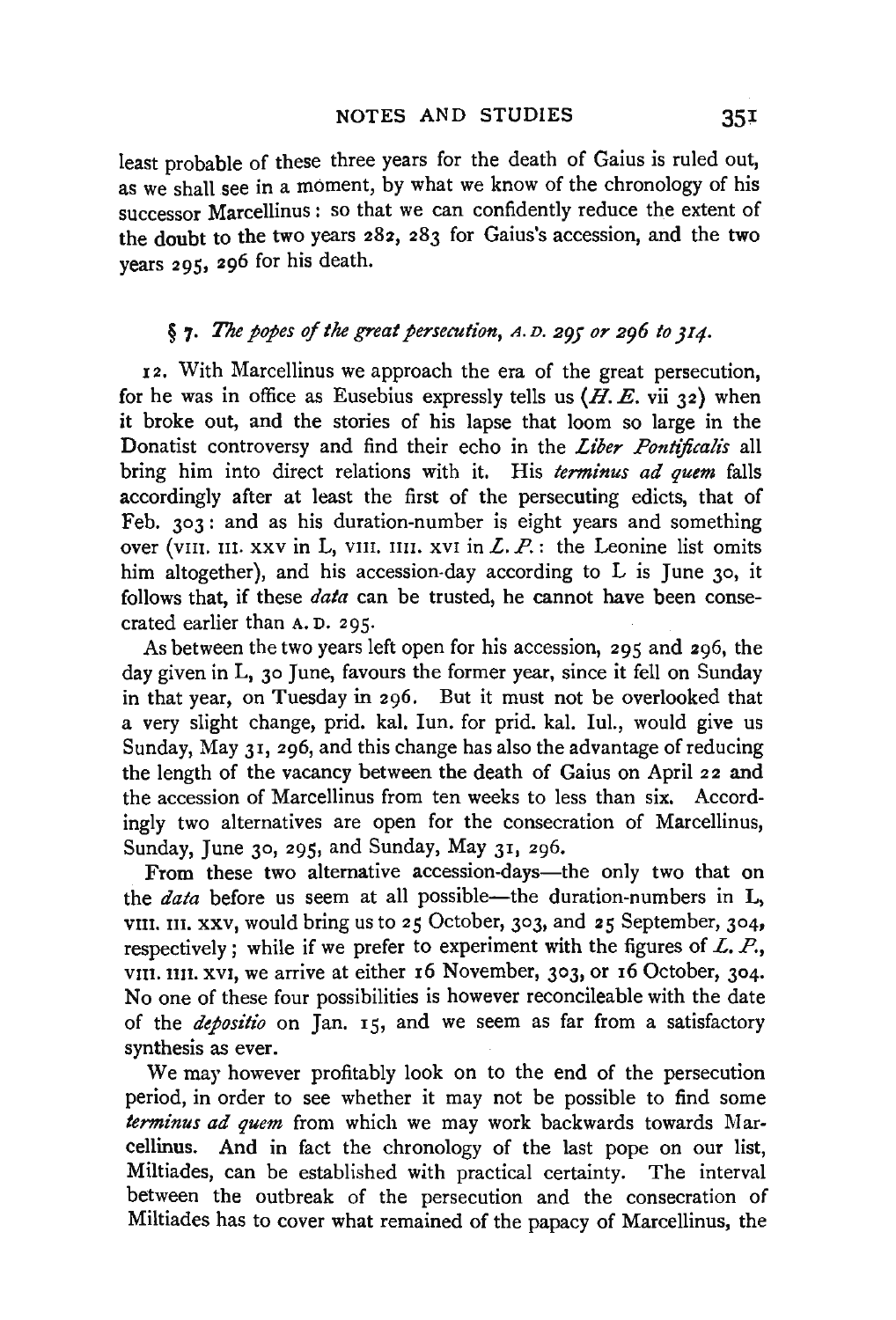least probable of these three years for the death of Gaius is ruled out, as we shall see in a moment, by what we know of the chronology of his successor Marcellinus : so that we can confidently reduce the extent of the doubt to the two years 282, 283 for Gaius's accession, and the two years 295, 296 for his death.

## § 7. *The popes of the great persecution,* <sup>A</sup> . D. *295 or 296 to JI4·*

12. With Marcellinus we approach the era of the great persecution, for he was in office as Eusebius expressly tells us  $(H, E, vii 32)$  when it broke out, and the stories of his lapse that loom so large in the Donatist controversy and find their echo in the *Liber Pontificalis* all bring him into direct relations with it. His *terminus ad quem* falls accordingly after at least the first of the persecuting edicts, that of Feb. 303: and as his duration-number is eight years and something over (viii. III. xxv in L, viii. IIII. xvI in *L. P.*: the Leonine list omits him altogether), and his accession-day according to L is June 30, it follows that, if these *data* can be trusted, he cannot have been consecrated earlier than A. D. 295.

As between the two years left open for his accession, 295 and 296, the day given in L, 30 June, favours the former year, since it fell on Sunday in that year, on Tuesday in 296. But it must not be overlooked that a very slight change, prid. kal. Iun. for prid. kal. Iul., would give us Sunday, May 31, 296, and this change has also the advantage of reducing the length of the vacancy between the death of Gaius on April 22 and the accession of Marcellinus from ten weeks to less than six. Accordingly two alternatives are open for the consecration of Marcellinus, Sunday, June 30, 295, and Sunday, May  $31, 296$ .

From these two alternative accession-days—the only two that on the *data* before us seem at all possible—the duration-numbers in L, VIII. m. xxv, would bring us to 25 October, 303, and 25 September, 304, respectively; while if we prefer to experiment with the figures of *L. P.,*  VIII. nn. xvI, we arrive at either 16 November, 303, or 16 October, 304. No one of these four possibilities is however reconcileable with the date of the *depositio* on Jan. 15, and we seem as far from a satisfactory synthesis as ever.

We may however profitably look on to the end of the persecution period, in order to see whether it may not be possible to find some *terminus ad quem* from which we may work backwards towards Marcellinus. And in fact the chronology of the last pope on our list, Miltiades, can be established with practical certainty. The interval between the outbreak of the persecution and the consecration of Miltiades has to cover what remained of the papacy of Marcellinus, the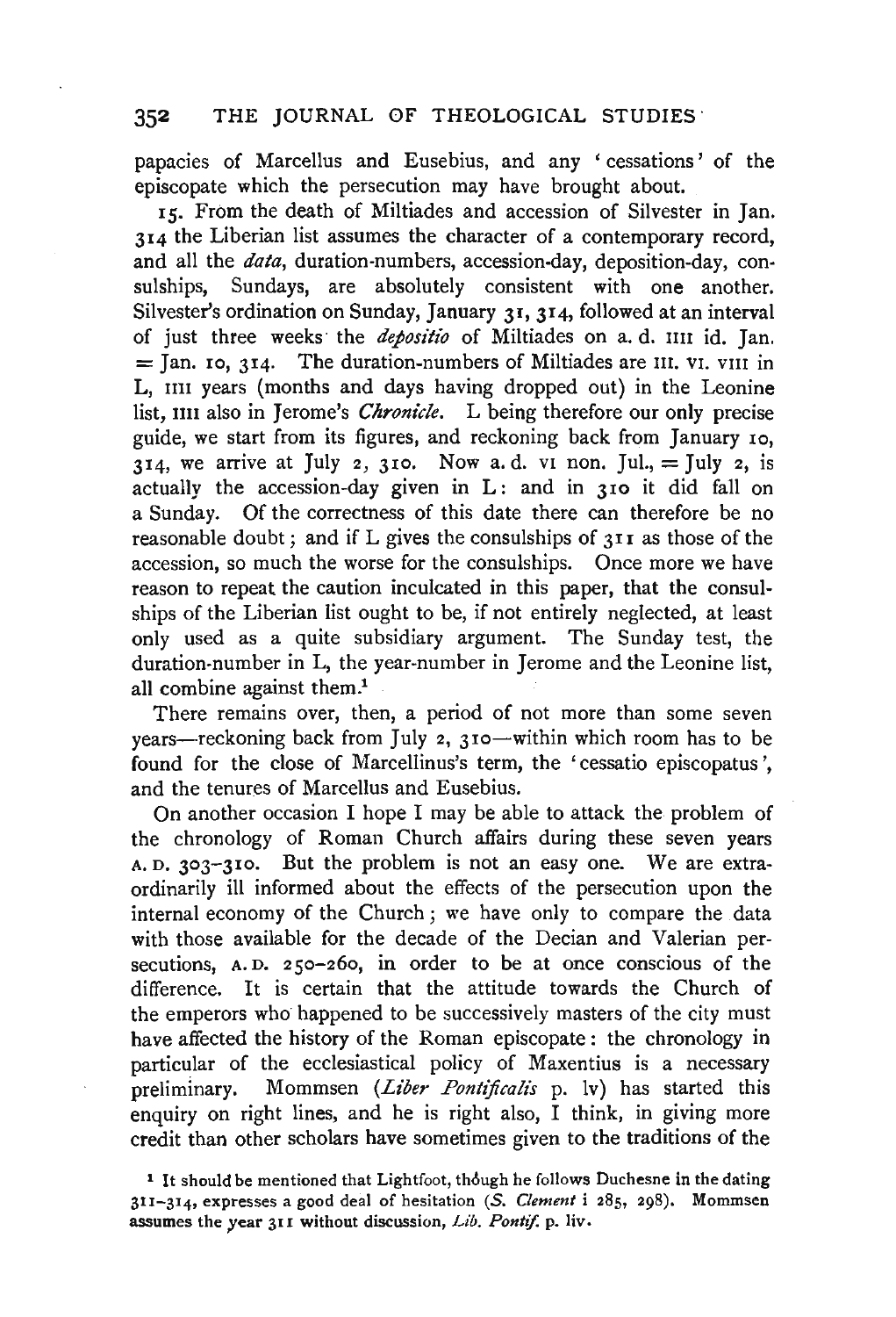papacies of Marcellus and Eusebius, and any ' cessations' of the episcopate which the persecution may have brought about.

15. From the death of Miltiades and accession of Silvester in Jan. 314 the Liberian list assumes the character of a contemporary record, and all the *data,* duration-numbers, accession-day, deposition-day, consulships, Sundays, are absolutely consistent with one another. Silvester's ordination on Sunday, January 31, 314, followed at an interval of just three weeks the *depositio* of Miltiades on a. d. nu id. Jan.  $=$  Jan. 10, 314. The duration-numbers of Miltiades are III, VI, VIII in L, IIII years (months and days having dropped out) in the Leonine list, IIII also in Jerome's *Chronicle*. L being therefore our only precise guide, we start from its figures, and reckoning back from January 10, 314, we arrive at July 2, 310. Now a.d. v1 non. Jul., = July 2, is actually the accession-day given in  $L$ : and in 310 it did fall on a Sunday. Of the correctness of this date there can therefore be no reasonable doubt; and if L gives the consulships of 311 as those of the accession, so much the worse for the consulships. Once more we have reason to repeat the caution inculcated in this paper, that the consulships of the Liberian list ought to be, if not entirely neglected, at least only used as a quite subsidiary argument. The Sunday test, the duration-number in L, the year-number in Jerome and the Leonine list, all combine against them.<sup>1</sup>

There remains over, then, a period of not more than some seven years—reckoning back from July 2,  $310$ —within which room has to be found for the close of Marcellinus's term, the ' cessatio episcopatus ', and the tenures of Marcellus and Eusebius.

On another occasion I hope I may be able to attack the problem of the chronology of Roman Church affairs during these seven years A. D. 303-310. But the problem is not an easy one. We are extraordinarily ill informed about the effects of the persecution upon the internal economy of the Church; we have only to compare the data with those available for the decade of the Decian and Valerian persecutions, A. D. 250-260, in order to be at once conscious of the difference. It is certain that the attitude towards the Church of the emperors who· happened to be successively masters of the city must have affected the history of the Roman episcopate : the chronology in particular of the ecclesiastical policy of Maxentius is a necessary preliminary. Mommsen *(Liber Pontificalis* p. lv) has started this enquiry on right lines, and he is right also, I think, in giving more credit than other scholars have sometimes given to the traditions of the

<sup>&</sup>lt;sup>1</sup> It should be mentioned that Lightfoot, though he follows Duchesne in the dating 311-314, expresses a good deal of hesitation (S. *Clement* i 285, 298). Mommsen assumes the year 311 without discussion, *Lib. Pontif.* p. liv.